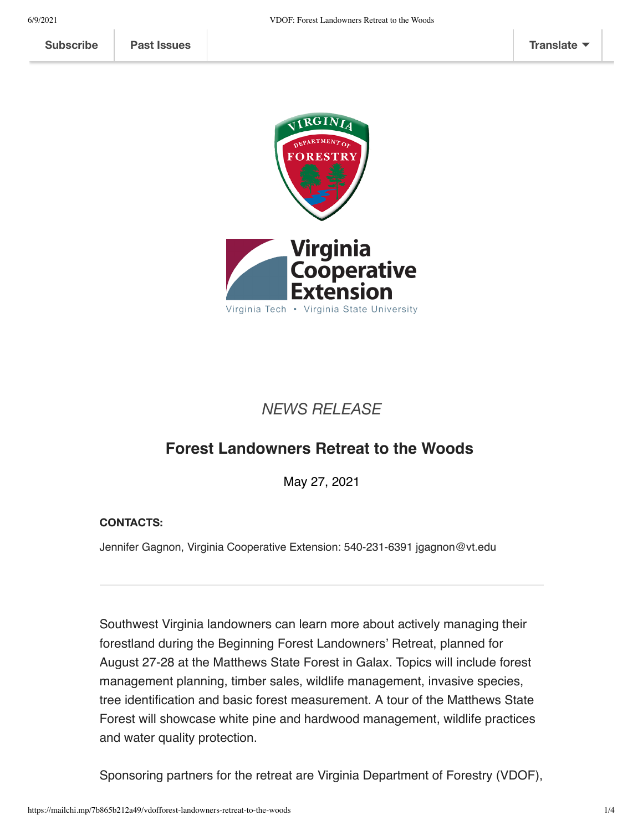

### *NEWS RELEASE*

### **Forest Landowners Retreat to the Woods**

May 27, 2021

#### **CONTACTS:**

Jennifer Gagnon, Virginia Cooperative Extension: 540-231-6391 jgagnon@vt.edu

Southwest Virginia landowners can learn more about actively managing their forestland during the Beginning Forest Landowners' Retreat, planned for August 27-28 at the Matthews State Forest in Galax. Topics will include forest management planning, timber sales, wildlife management, invasive species, tree identification and basic forest measurement. A tour of the Matthews State Forest will showcase white pine and hardwood management, wildlife practices and water quality protection.

Sponsoring partners for the retreat are Virginia Department of Forestry (VDOF),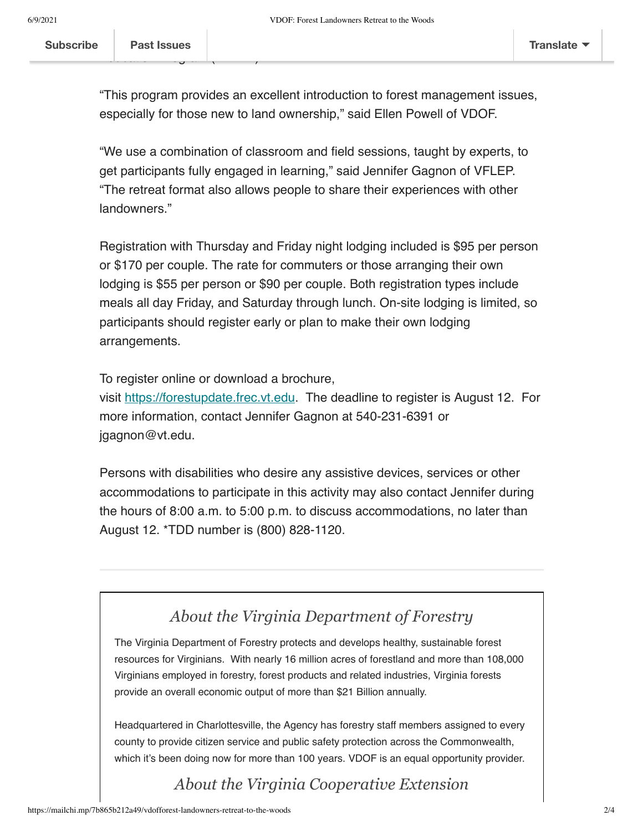Education Program (VFLEP).

"This program provides an excellent introduction to forest management issues, especially for those new to land ownership," said Ellen Powell of VDOF.

"We use a combination of classroom and field sessions, taught by experts, to get participants fully engaged in learning," said Jennifer Gagnon of VFLEP. "The retreat format also allows people to share their experiences with other landowners."

Registration with Thursday and Friday night lodging included is \$95 per person or \$170 per couple. The rate for commuters or those arranging their own lodging is \$55 per person or \$90 per couple. Both registration types include meals all day Friday, and Saturday through lunch. On-site lodging is limited, so participants should register early or plan to make their own lodging arrangements.

To register online or download a brochure, visit [https://forestupdate.frec.vt.edu](https://forestupdate.frec.vt.edu/). The deadline to register is August 12. For more information, contact Jennifer Gagnon at 540-231-6391 or jgagnon@vt.edu.

Persons with disabilities who desire any assistive devices, services or other accommodations to participate in this activity may also contact Jennifer during the hours of 8:00 a.m. to 5:00 p.m. to discuss accommodations, no later than August 12. \*TDD number is (800) 828-1120.

## *About the Virginia Department of Forestry*

The Virginia Department of Forestry protects and develops healthy, sustainable forest resources for Virginians. With nearly 16 million acres of forestland and more than 108,000 Virginians employed in forestry, forest products and related industries, Virginia forests provide an overall economic output of more than \$21 Billion annually.

Headquartered in Charlottesville, the Agency has forestry staff members assigned to every county to provide citizen service and public safety protection across the Commonwealth, which it's been doing now for more than 100 years. VDOF is an equal opportunity provider.

# *About the Virginia Cooperative Extension*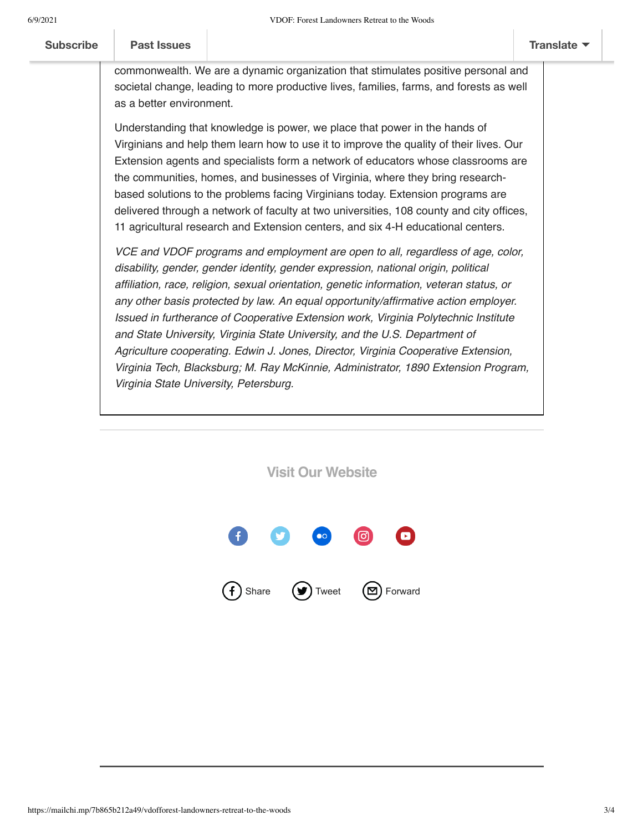| <b>Subscribe</b> | <b>Past Issues</b>                                                                                                                                                                                                                                                                                                                                                                                                                                                                                                                                                                                                                                                                                                                                                                                                          |  | <b>Translate</b> |
|------------------|-----------------------------------------------------------------------------------------------------------------------------------------------------------------------------------------------------------------------------------------------------------------------------------------------------------------------------------------------------------------------------------------------------------------------------------------------------------------------------------------------------------------------------------------------------------------------------------------------------------------------------------------------------------------------------------------------------------------------------------------------------------------------------------------------------------------------------|--|------------------|
|                  | commonwealth. We are a dynamic organization that stimulates positive personal and<br>societal change, leading to more productive lives, families, farms, and forests as well<br>as a better environment.<br>Understanding that knowledge is power, we place that power in the hands of<br>Virginians and help them learn how to use it to improve the quality of their lives. Our<br>Extension agents and specialists form a network of educators whose classrooms are<br>the communities, homes, and businesses of Virginia, where they bring research-<br>based solutions to the problems facing Virginians today. Extension programs are<br>delivered through a network of faculty at two universities, 108 county and city offices,<br>11 agricultural research and Extension centers, and six 4-H educational centers. |  |                  |
|                  |                                                                                                                                                                                                                                                                                                                                                                                                                                                                                                                                                                                                                                                                                                                                                                                                                             |  |                  |
|                  | VCE and VDOF programs and employment are open to all, regardless of age, color,<br>disability, gender, gender identity, gender expression, national origin, political<br>affiliation, race, religion, sexual orientation, genetic information, veteran status, or<br>any other basis protected by law. An equal opportunity/affirmative action employer.<br>Issued in furtherance of Cooperative Extension work, Virginia Polytechnic Institute<br>and State University, Virginia State University, and the U.S. Department of<br>Agriculture cooperating. Edwin J. Jones, Director, Virginia Cooperative Extension,<br>Virginia Tech, Blacksburg; M. Ray McKinnie, Administrator, 1890 Extension Program,<br>Virginia State University, Petersburg.                                                                        |  |                  |
|                  |                                                                                                                                                                                                                                                                                                                                                                                                                                                                                                                                                                                                                                                                                                                                                                                                                             |  |                  |